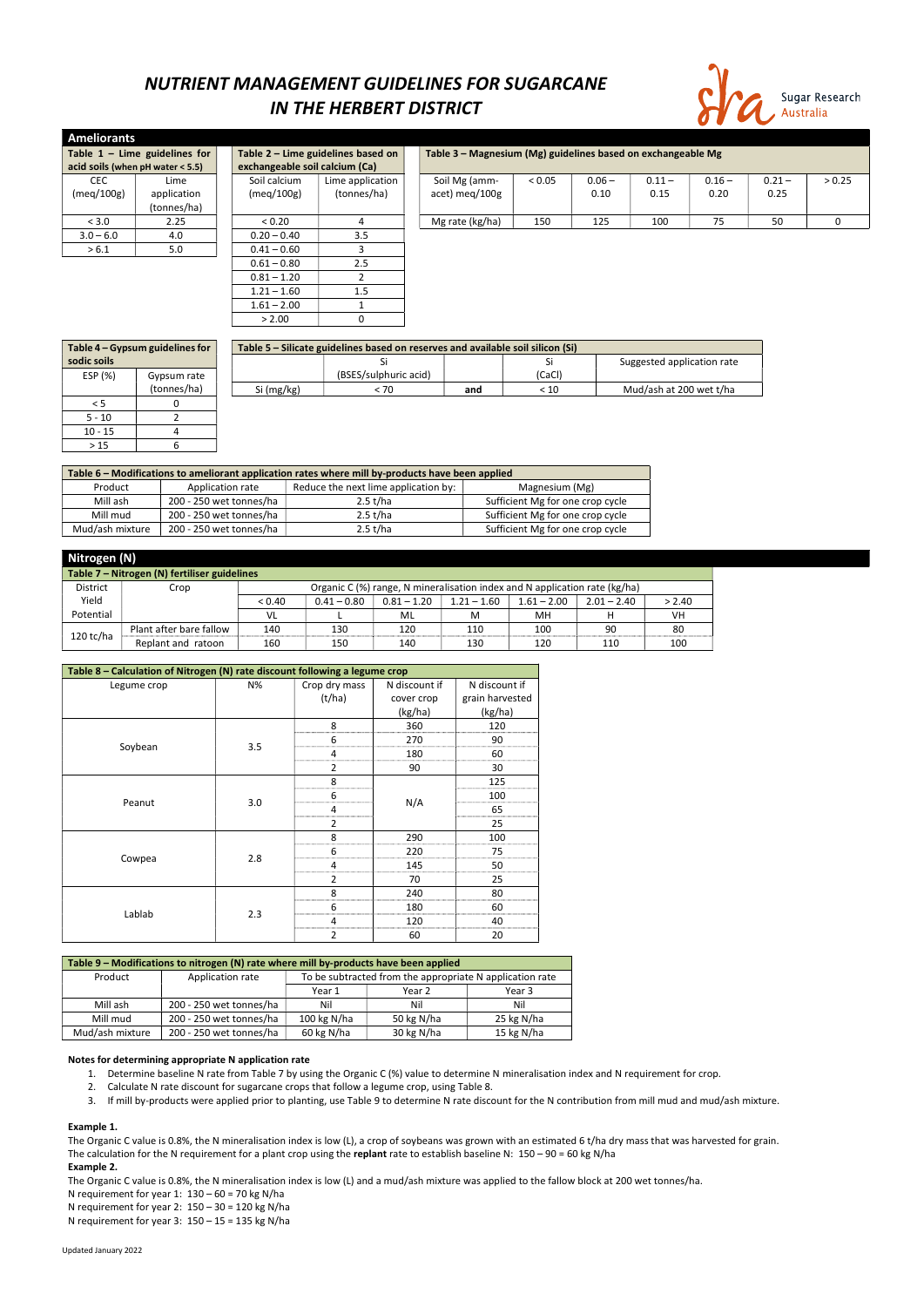Updated January 2022

## NUTRIENT MANAGEMENT GUIDELINES FOR SUGARCANE IN THE HERBERT DISTRICT



| <b>Ameliorants</b> |                                  |  |                                |                                    |  |                                                              |        |          |          |          |          |        |
|--------------------|----------------------------------|--|--------------------------------|------------------------------------|--|--------------------------------------------------------------|--------|----------|----------|----------|----------|--------|
|                    | Table $1 -$ Lime guidelines for  |  |                                | Table 2 - Lime guidelines based on |  | Table 3 – Magnesium (Mg) guidelines based on exchangeable Mg |        |          |          |          |          |        |
|                    | acid soils (when pH water < 5.5) |  | exchangeable soil calcium (Ca) |                                    |  |                                                              |        |          |          |          |          |        |
| <b>CEC</b>         | Lime                             |  | Soil calcium                   | Lime application                   |  | Soil Mg (amm-                                                | < 0.05 | $0.06 -$ | $0.11 -$ | $0.16 -$ | $0.21 -$ | > 0.25 |
| (meq/100g)         | application                      |  | (meq/100g)                     | (tonnes/ha)                        |  | acet) meg/100g                                               |        | 0.10     | 0.15     | 0.20     | 0.25     |        |
|                    | (tonnes/ha)                      |  |                                |                                    |  |                                                              |        |          |          |          |          |        |
| < 3.0              | 2.25                             |  | < 0.20                         | 4                                  |  | Mg rate (kg/ha)                                              | 150    | 125      | 100      | 75       | 50       | 0      |
| $3.0 - 6.0$        | 4.0                              |  | $0.20 - 0.40$                  | 3.5                                |  |                                                              |        |          |          |          |          |        |
| > 6.1              | 5.0                              |  | $0.41 - 0.60$                  |                                    |  |                                                              |        |          |          |          |          |        |
|                    |                                  |  | $0.61 - 0.80$                  | 2.5                                |  |                                                              |        |          |          |          |          |        |
|                    |                                  |  | $0.81 - 1.20$                  |                                    |  |                                                              |        |          |          |          |          |        |
|                    |                                  |  | $1.21 - 1.60$                  | 1.5                                |  |                                                              |        |          |          |          |          |        |
|                    |                                  |  | $1.61 - 2.00$                  |                                    |  |                                                              |        |          |          |          |          |        |

| Table 4 - Gypsum guidelines for |             | Table 5 – Silicate guidelines based on reserves and available soil silicon (Si) |                       |     |        |                            |  |  |  |
|---------------------------------|-------------|---------------------------------------------------------------------------------|-----------------------|-----|--------|----------------------------|--|--|--|
| sodic soils                     |             |                                                                                 |                       |     |        | Suggested application rate |  |  |  |
| ESP (%)                         | Gypsum rate |                                                                                 | (BSES/sulphuric acid) |     | (CaCl) |                            |  |  |  |
|                                 | (tonnes/ha) | Si (mg/kg)                                                                      | < 70                  | and | < 10   | Mud/ash at 200 wet t/ha    |  |  |  |
| ל >                             |             |                                                                                 |                       |     |        |                            |  |  |  |
| $5 - 10$                        |             |                                                                                 |                       |     |        |                            |  |  |  |
| $10 - 15$                       |             |                                                                                 |                       |     |        |                            |  |  |  |
| >15                             |             |                                                                                 |                       |     |        |                            |  |  |  |

| Table 6 – Modifications to ameliorant application rates where mill by-products have been applied |                         |                                      |                                  |  |  |  |  |  |
|--------------------------------------------------------------------------------------------------|-------------------------|--------------------------------------|----------------------------------|--|--|--|--|--|
| Product                                                                                          | Application rate        | Reduce the next lime application by: | Magnesium (Mg)                   |  |  |  |  |  |
| Mill ash                                                                                         | 200 - 250 wet tonnes/ha | 2.5 t/ha                             | Sufficient Mg for one crop cycle |  |  |  |  |  |
| Mill mud                                                                                         | 200 - 250 wet tonnes/ha | 2.5 t/ha                             | Sufficient Mg for one crop cycle |  |  |  |  |  |
| Mud/ash mixture                                                                                  | 200 - 250 wet tonnes/ha | 2.5 t/ha                             | Sufficient Mg for one crop cycle |  |  |  |  |  |

 $> 2.00$  0

The Organic C value is 0.8%, the N mineralisation index is low (L), a crop of soybeans was grown with an estimated 6 t/ha dry mass that was harvested for grain. The calculation for the N requirement for a plant crop using the replant rate to establish baseline N:  $150 - 90 = 60$  kg N/ha

|                                              | Nitrogen (N)            |        |                                                                            |               |               |               |               |           |  |  |
|----------------------------------------------|-------------------------|--------|----------------------------------------------------------------------------|---------------|---------------|---------------|---------------|-----------|--|--|
| Table 7 - Nitrogen (N) fertiliser guidelines |                         |        |                                                                            |               |               |               |               |           |  |  |
| <b>District</b>                              | Crop                    |        | Organic C (%) range, N mineralisation index and N application rate (kg/ha) |               |               |               |               |           |  |  |
| Yield                                        |                         | < 0.40 | $0.41 - 0.80$                                                              | $0.81 - 1.20$ | $1.21 - 1.60$ | $1.61 - 2.00$ | $2.01 - 2.40$ | > 2.40    |  |  |
| Potential                                    |                         | VL     |                                                                            | ML            | M             | MН            |               | <b>VH</b> |  |  |
| $120$ tc/ha                                  | Plant after bare fallow | 140    | 130                                                                        | 120           | 110           | 100           | 90            | 80        |  |  |
|                                              | Replant and ratoon      | 160    | 150                                                                        | 140           | 130           | 120           | 110           | 100       |  |  |

| Table 8 - Calculation of Nitrogen (N) rate discount following a legume crop |     |                |               |                 |  |  |  |  |  |
|-----------------------------------------------------------------------------|-----|----------------|---------------|-----------------|--|--|--|--|--|
| Legume crop                                                                 | N%  | Crop dry mass  | N discount if | N discount if   |  |  |  |  |  |
|                                                                             |     | (t/ha)         | cover crop    | grain harvested |  |  |  |  |  |
|                                                                             |     |                | (kg/ha)       | (kg/ha)         |  |  |  |  |  |
|                                                                             |     | 8              | 360           | 120             |  |  |  |  |  |
|                                                                             |     | 6              | 270           | 90              |  |  |  |  |  |
| Soybean                                                                     | 3.5 | 4              | 180           | 60              |  |  |  |  |  |
|                                                                             |     | $\overline{2}$ | 90            | 30              |  |  |  |  |  |
|                                                                             |     | 8              |               | 125             |  |  |  |  |  |
|                                                                             |     | 6              |               | 100             |  |  |  |  |  |
| Peanut                                                                      | 3.0 | 4              | N/A           | 65              |  |  |  |  |  |
|                                                                             |     | 2              |               | 25              |  |  |  |  |  |
|                                                                             |     | 8              | 290           | 100             |  |  |  |  |  |
|                                                                             |     | 6              | 220           | 75              |  |  |  |  |  |
| Cowpea                                                                      | 2.8 | 4              | 145           | 50              |  |  |  |  |  |
|                                                                             |     | $\overline{2}$ | 70            | 25              |  |  |  |  |  |
|                                                                             |     | 8              | 240           | 80              |  |  |  |  |  |
|                                                                             |     | 6              | 180           | 60              |  |  |  |  |  |
| Lablab                                                                      | 2.3 | $\overline{4}$ | 120           | 40              |  |  |  |  |  |
|                                                                             |     | 2              | 60            | 20              |  |  |  |  |  |

|         | Table 9 – Modifications to nitrogen (N) rate where mill by-products have been applied |                                                          |  |
|---------|---------------------------------------------------------------------------------------|----------------------------------------------------------|--|
| Product | Application rate                                                                      | To be subtracted from the appropriate N application rate |  |
|         |                                                                                       |                                                          |  |

|                 |                         | Year 1        | Year 2     | Year 3     |
|-----------------|-------------------------|---------------|------------|------------|
| Mill ash        | 200 - 250 wet tonnes/ha | Nil           | Nil        | Nil        |
| Mill mud        | 200 - 250 wet tonnes/ha | 100 kg $N/ha$ | 50 kg N/ha | 25 kg N/ha |
| Mud/ash mixture | 200 - 250 wet tonnes/ha | 60 kg N/ha    | 30 kg N/ha | 15 kg N/ha |

### Notes for determining appropriate N application rate

- 1. Determine baseline N rate from Table 7 by using the Organic C (%) value to determine N mineralisation index and N requirement for crop.
- 2. Calculate N rate discount for sugarcane crops that follow a legume crop, using Table 8.
- 3. If mill by-products were applied prior to planting, use Table 9 to determine N rate discount for the N contribution from mill mud and mud/ash mixture.

## Example 1.

### Example 2.

The Organic C value is 0.8%, the N mineralisation index is low (L) and a mud/ash mixture was applied to the fallow block at 200 wet tonnes/ha.

N requirement for year 1:  $130 - 60 = 70$  kg N/ha

N requirement for year 2: 150 – 30 = 120 kg N/ha

N requirement for year 3:  $150 - 15 = 135$  kg N/ha